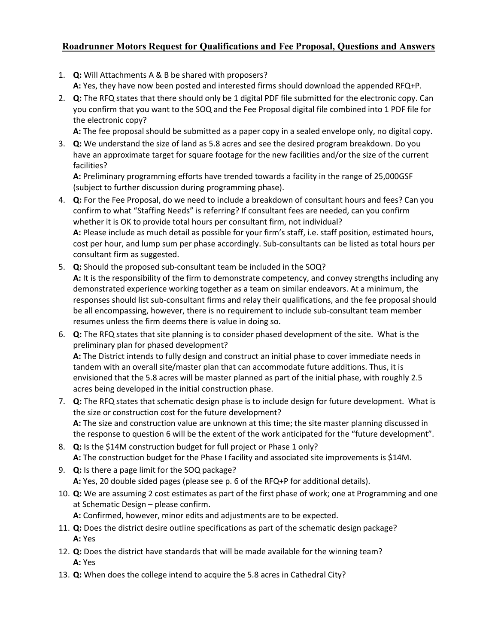## Roadrunner Motors Request for Qualifications and Fee Proposal, Questions and Answers

- 1. Q: Will Attachments A & B be shared with proposers? A: Yes, they have now been posted and interested firms should download the appended RFQ+P.
- 2. Q: The RFQ states that there should only be 1 digital PDF file submitted for the electronic copy. Can you confirm that you want to the SOQ and the Fee Proposal digital file combined into 1 PDF file for the electronic copy?

A: The fee proposal should be submitted as a paper copy in a sealed envelope only, no digital copy.

3. Q: We understand the size of land as 5.8 acres and see the desired program breakdown. Do you have an approximate target for square footage for the new facilities and/or the size of the current facilities?

A: Preliminary programming efforts have trended towards a facility in the range of 25,000GSF (subject to further discussion during programming phase).

- 4. **Q:** For the Fee Proposal, do we need to include a breakdown of consultant hours and fees? Can you confirm to what "Staffing Needs" is referring? If consultant fees are needed, can you confirm whether it is OK to provide total hours per consultant firm, not individual? A: Please include as much detail as possible for your firm's staff, i.e. staff position, estimated hours, cost per hour, and lump sum per phase accordingly. Sub-consultants can be listed as total hours per consultant firm as suggested.
- 5. Q: Should the proposed sub-consultant team be included in the SOQ? A: It is the responsibility of the firm to demonstrate competency, and convey strengths including any demonstrated experience working together as a team on similar endeavors. At a minimum, the responses should list sub-consultant firms and relay their qualifications, and the fee proposal should be all encompassing, however, there is no requirement to include sub-consultant team member resumes unless the firm deems there is value in doing so.
- 6. Q: The RFQ states that site planning is to consider phased development of the site. What is the preliminary plan for phased development? A: The District intends to fully design and construct an initial phase to cover immediate needs in tandem with an overall site/master plan that can accommodate future additions. Thus, it is envisioned that the 5.8 acres will be master planned as part of the initial phase, with roughly 2.5 acres being developed in the initial construction phase.
- 7. Q: The RFQ states that schematic design phase is to include design for future development. What is the size or construction cost for the future development? A: The size and construction value are unknown at this time; the site master planning discussed in the response to question 6 will be the extent of the work anticipated for the "future development".
- 8. Q: Is the \$14M construction budget for full project or Phase 1 only? A: The construction budget for the Phase I facility and associated site improvements is \$14M.
- 9. Q: Is there a page limit for the SOQ package? A: Yes, 20 double sided pages (please see p. 6 of the RFQ+P for additional details).
- 10. Q: We are assuming 2 cost estimates as part of the first phase of work; one at Programming and one at Schematic Design – please confirm. A: Confirmed, however, minor edits and adjustments are to be expected.
- 11. Q: Does the district desire outline specifications as part of the schematic design package? A: Yes
- 12. Q: Does the district have standards that will be made available for the winning team? A: Yes
- 13. Q: When does the college intend to acquire the 5.8 acres in Cathedral City?